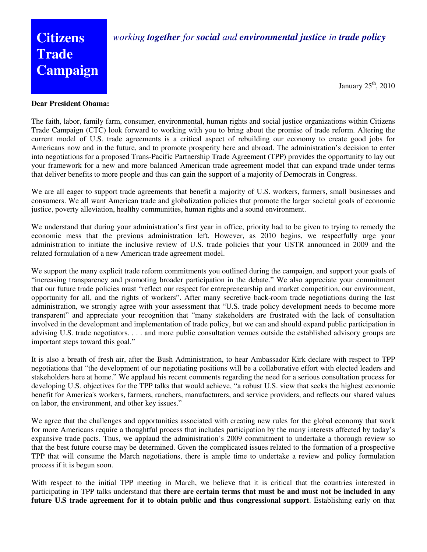## *working together for social and environmental justice in trade policy*

## **Citizens Trade Campaign**

January  $25<sup>th</sup>$ , 2010

## **Dear President Obama:**

The faith, labor, family farm, consumer, environmental, human rights and social justice organizations within Citizens Trade Campaign (CTC) look forward to working with you to bring about the promise of trade reform. Altering the current model of U.S. trade agreements is a critical aspect of rebuilding our economy to create good jobs for Americans now and in the future, and to promote prosperity here and abroad. The administration's decision to enter into negotiations for a proposed Trans-Pacific Partnership Trade Agreement (TPP) provides the opportunity to lay out your framework for a new and more balanced American trade agreement model that can expand trade under terms that deliver benefits to more people and thus can gain the support of a majority of Democrats in Congress.

We are all eager to support trade agreements that benefit a majority of U.S. workers, farmers, small businesses and consumers. We all want American trade and globalization policies that promote the larger societal goals of economic justice, poverty alleviation, healthy communities, human rights and a sound environment.

We understand that during your administration's first year in office, priority had to be given to trying to remedy the economic mess that the previous administration left. However, as 2010 begins, we respectfully urge your administration to initiate the inclusive review of U.S. trade policies that your USTR announced in 2009 and the related formulation of a new American trade agreement model.

We support the many explicit trade reform commitments you outlined during the campaign, and support your goals of "increasing transparency and promoting broader participation in the debate." We also appreciate your commitment that our future trade policies must "reflect our respect for entrepreneurship and market competition, our environment, opportunity for all, and the rights of workers". After many secretive back-room trade negotiations during the last administration, we strongly agree with your assessment that "U.S. trade policy development needs to become more transparent" and appreciate your recognition that "many stakeholders are frustrated with the lack of consultation involved in the development and implementation of trade policy, but we can and should expand public participation in advising U.S. trade negotiators. . . . and more public consultation venues outside the established advisory groups are important steps toward this goal."

It is also a breath of fresh air, after the Bush Administration, to hear Ambassador Kirk declare with respect to TPP negotiations that "the development of our negotiating positions will be a collaborative effort with elected leaders and stakeholders here at home." We applaud his recent comments regarding the need for a serious consultation process for developing U.S. objectives for the TPP talks that would achieve, "a robust U.S. view that seeks the highest economic benefit for America's workers, farmers, ranchers, manufacturers, and service providers, and reflects our shared values on labor, the environment, and other key issues."

We agree that the challenges and opportunities associated with creating new rules for the global economy that work for more Americans require a thoughtful process that includes participation by the many interests affected by today's expansive trade pacts. Thus, we applaud the administration's 2009 commitment to undertake a thorough review so that the best future course may be determined. Given the complicated issues related to the formation of a prospective TPP that will consume the March negotiations, there is ample time to undertake a review and policy formulation process if it is begun soon.

With respect to the initial TPP meeting in March, we believe that it is critical that the countries interested in participating in TPP talks understand that **there are certain terms that must be and must not be included in any future U.S trade agreement for it to obtain public and thus congressional support**. Establishing early on that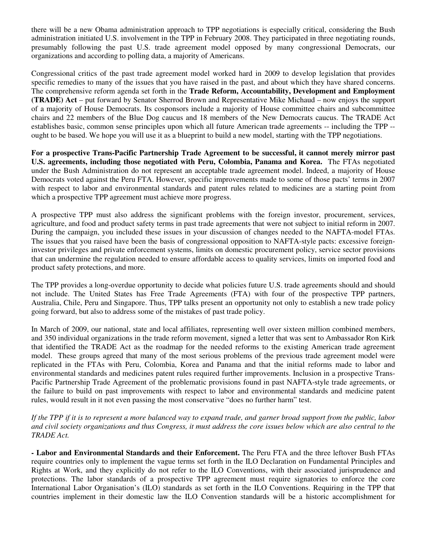there will be a new Obama administration approach to TPP negotiations is especially critical, considering the Bush administration initiated U.S. involvement in the TPP in February 2008. They participated in three negotiating rounds, presumably following the past U.S. trade agreement model opposed by many congressional Democrats, our organizations and according to polling data, a majority of Americans.

Congressional critics of the past trade agreement model worked hard in 2009 to develop legislation that provides specific remedies to many of the issues that you have raised in the past, and about which they have shared concerns. The comprehensive reform agenda set forth in the **Trade Reform, Accountability, Development and Employment (TRADE) Act** – put forward by Senator Sherrod Brown and Representative Mike Michaud – now enjoys the support of a majority of House Democrats. Its cosponsors include a majority of House committee chairs and subcommittee chairs and 22 members of the Blue Dog caucus and 18 members of the New Democrats caucus. The TRADE Act establishes basic, common sense principles upon which all future American trade agreements -- including the TPP - ought to be based. We hope you will use it as a blueprint to build a new model, starting with the TPP negotiations.

**For a prospective Trans-Pacific Partnership Trade Agreement to be successful, it cannot merely mirror past U.S. agreements, including those negotiated with Peru, Colombia, Panama and Korea.** The FTAs negotiated under the Bush Administration do not represent an acceptable trade agreement model. Indeed, a majority of House Democrats voted against the Peru FTA. However, specific improvements made to some of those pacts' terms in 2007 with respect to labor and environmental standards and patent rules related to medicines are a starting point from which a prospective TPP agreement must achieve more progress.

A prospective TPP must also address the significant problems with the foreign investor, procurement, services, agriculture, and food and product safety terms in past trade agreements that were not subject to initial reform in 2007. During the campaign, you included these issues in your discussion of changes needed to the NAFTA-model FTAs. The issues that you raised have been the basis of congressional opposition to NAFTA-style pacts: excessive foreigninvestor privileges and private enforcement systems, limits on domestic procurement policy, service sector provisions that can undermine the regulation needed to ensure affordable access to quality services, limits on imported food and product safety protections, and more.

The TPP provides a long-overdue opportunity to decide what policies future U.S. trade agreements should and should not include. The United States has Free Trade Agreements (FTA) with four of the prospective TPP partners, Australia, Chile, Peru and Singapore. Thus, TPP talks present an opportunity not only to establish a new trade policy going forward, but also to address some of the mistakes of past trade policy.

In March of 2009, our national, state and local affiliates, representing well over sixteen million combined members, and 350 individual organizations in the trade reform movement, signed a letter that was sent to Ambassador Ron Kirk that identified the TRADE Act as the roadmap for the needed reforms to the existing American trade agreement model. These groups agreed that many of the most serious problems of the previous trade agreement model were replicated in the FTAs with Peru, Colombia, Korea and Panama and that the initial reforms made to labor and environmental standards and medicines patent rules required further improvements. Inclusion in a prospective Trans-Pacific Partnership Trade Agreement of the problematic provisions found in past NAFTA-style trade agreements, or the failure to build on past improvements with respect to labor and environmental standards and medicine patent rules, would result in it not even passing the most conservative "does no further harm" test.

*If the TPP if it is to represent a more balanced way to expand trade, and garner broad support from the public, labor and civil society organizations and thus Congress, it must address the core issues below which are also central to the TRADE Act.* 

**- Labor and Environmental Standards and their Enforcement.** The Peru FTA and the three leftover Bush FTAs require countries only to implement the vague terms set forth in the ILO Declaration on Fundamental Principles and Rights at Work, and they explicitly do not refer to the ILO Conventions, with their associated jurisprudence and protections. The labor standards of a prospective TPP agreement must require signatories to enforce the core International Labor Organisation's (ILO) standards as set forth in the ILO Conventions. Requiring in the TPP that countries implement in their domestic law the ILO Convention standards will be a historic accomplishment for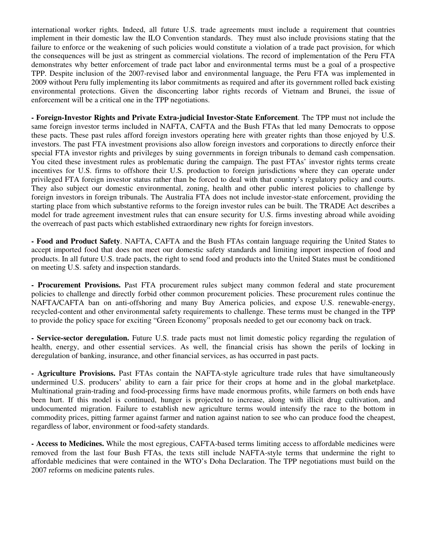international worker rights. Indeed, all future U.S. trade agreements must include a requirement that countries implement in their domestic law the ILO Convention standards. They must also include provisions stating that the failure to enforce or the weakening of such policies would constitute a violation of a trade pact provision, for which the consequences will be just as stringent as commercial violations. The record of implementation of the Peru FTA demonstrates why better enforcement of trade pact labor and environmental terms must be a goal of a prospective TPP. Despite inclusion of the 2007-revised labor and environmental language, the Peru FTA was implemented in 2009 without Peru fully implementing its labor commitments as required and after its government rolled back existing environmental protections. Given the disconcerting labor rights records of Vietnam and Brunei, the issue of enforcement will be a critical one in the TPP negotiations.

**- Foreign-Investor Rights and Private Extra-judicial Investor-State Enforcement**. The TPP must not include the same foreign investor terms included in NAFTA, CAFTA and the Bush FTAs that led many Democrats to oppose these pacts. These past rules afford foreign investors operating here with greater rights than those enjoyed by U.S. investors. The past FTA investment provisions also allow foreign investors and corporations to directly enforce their special FTA investor rights and privileges by suing governments in foreign tribunals to demand cash compensation. You cited these investment rules as problematic during the campaign. The past FTAs' investor rights terms create incentives for U.S. firms to offshore their U.S. production to foreign jurisdictions where they can operate under privileged FTA foreign investor status rather than be forced to deal with that country's regulatory policy and courts. They also subject our domestic environmental, zoning, health and other public interest policies to challenge by foreign investors in foreign tribunals. The Australia FTA does not include investor-state enforcement, providing the starting place from which substantive reforms to the foreign investor rules can be built. The TRADE Act describes a model for trade agreement investment rules that can ensure security for U.S. firms investing abroad while avoiding the overreach of past pacts which established extraordinary new rights for foreign investors.

**- Food and Product Safety**. NAFTA, CAFTA and the Bush FTAs contain language requiring the United States to accept imported food that does not meet our domestic safety standards and limiting import inspection of food and products. In all future U.S. trade pacts, the right to send food and products into the United States must be conditioned on meeting U.S. safety and inspection standards.

**- Procurement Provisions.** Past FTA procurement rules subject many common federal and state procurement policies to challenge and directly forbid other common procurement policies. These procurement rules continue the NAFTA/CAFTA ban on anti-offshoring and many Buy America policies, and expose U.S. renewable-energy, recycled-content and other environmental safety requirements to challenge. These terms must be changed in the TPP to provide the policy space for exciting "Green Economy" proposals needed to get our economy back on track.

**- Service-sector deregulation.** Future U.S. trade pacts must not limit domestic policy regarding the regulation of health, energy, and other essential services. As well, the financial crisis has shown the perils of locking in deregulation of banking, insurance, and other financial services, as has occurred in past pacts.

**- Agriculture Provisions.** Past FTAs contain the NAFTA-style agriculture trade rules that have simultaneously undermined U.S. producers' ability to earn a fair price for their crops at home and in the global marketplace. Multinational grain-trading and food-processing firms have made enormous profits, while farmers on both ends have been hurt. If this model is continued, hunger is projected to increase, along with illicit drug cultivation, and undocumented migration. Failure to establish new agriculture terms would intensify the race to the bottom in commodity prices, pitting farmer against farmer and nation against nation to see who can produce food the cheapest, regardless of labor, environment or food-safety standards.

**- Access to Medicines.** While the most egregious, CAFTA-based terms limiting access to affordable medicines were removed from the last four Bush FTAs, the texts still include NAFTA-style terms that undermine the right to affordable medicines that were contained in the WTO's Doha Declaration. The TPP negotiations must build on the 2007 reforms on medicine patents rules.